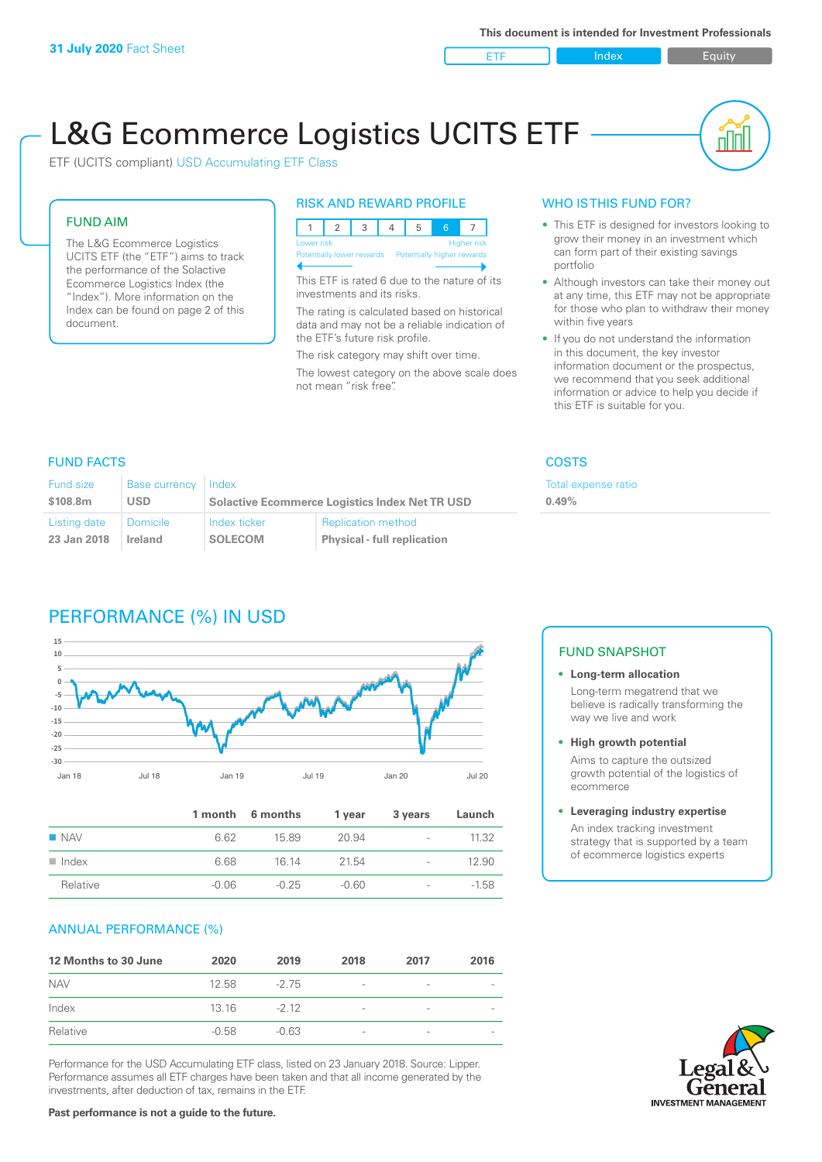ETF Index Buity

nn

# L&G Ecommerce Logistics UCITS ETF

ETF (UCITS compliant) USD Accumulating ETF Class

# FUND AIM

The L&G Ecommerce Logistics UCITS ETF (the "ETF") aims to track the performance of the Solactive Ecommerce Logistics Index (the "Index"). More information on the Index can be found on page 2 of this document.

### RISK AND REWARD PROFILE



This ETF is rated 6 due to the nature of its investments and its risks.

The rating is calculated based on historical data and may not be a reliable indication of the ETF's future risk profile.

The risk category may shift over time. The lowest category on the above scale does not mean "risk free".

### WHO IS THIS FUND FOR?

- This ETF is designed for investors looking to grow their money in an investment which can form part of their existing savings portfolio
- Although investors can take their money out at any time, this ETF may not be appropriate for those who plan to withdraw their money within five years
- If you do not understand the information in this document, the key investor information document or the prospectus, we recommend that you seek additional information or advice to help you decide if this ETF is suitable for you.

**0.49%**

Total expense ratio

### FUND FACTS COSTS

| <b>Fund size</b> | <b>Base currency</b> | Index                                                 |                                    |  |
|------------------|----------------------|-------------------------------------------------------|------------------------------------|--|
| \$108.8m         | <b>USD</b>           | <b>Solactive Ecommerce Logistics Index Net TR USD</b> |                                    |  |
| Listing date     | <b>Domicile</b>      | Index ticker                                          | <b>Replication method</b>          |  |
| 23 Jan 2018      | Ireland              | <b>SOLECOM</b>                                        | <b>Physical - full replication</b> |  |

# PERFORMANCE (%) IN USD



|                      |         | 1 month 6 months | 1 year  | 3 years                  | Launch  |
|----------------------|---------|------------------|---------|--------------------------|---------|
| $\blacksquare$ NAV   | 6.62    | 15.89            | 20.94   | $\overline{\phantom{a}}$ | 11.32   |
| $\blacksquare$ Index | 6.68    | 16 14            | 21.54   | $\overline{\phantom{a}}$ | 12.90   |
| Relative             | $-0.06$ | $-0.25$          | $-0.60$ | $\overline{\phantom{a}}$ | $-1.58$ |

### ANNUAL PERFORMANCE (%)

| 12 Months to 30 June | 2020    | 2019    | 2018                     | 2017            | 2016 |
|----------------------|---------|---------|--------------------------|-----------------|------|
| <b>NAV</b>           | 12.58   | $-275$  | $\overline{\phantom{a}}$ | -               |      |
| Index                | 13 16   | $-212$  | $\overline{\phantom{a}}$ | -               |      |
| Relative             | $-0.58$ | $-0.63$ | $\overline{\phantom{a}}$ | $\qquad \qquad$ |      |

Performance for the USD Accumulating ETF class, listed on 23 January 2018. Source: Lipper. Performance assumes all ETF charges have been taken and that all income generated by the investments, after deduction of tax, remains in the ETF.

### FUND SNAPSHOT

### **• Long-term allocation** Long-term megatrend that we believe is radically transforming the way we live and work

**• High growth potential** Aims to capture the outsized growth potential of the logistics of ecommerce

### **• Leveraging industry expertise**

An index tracking investment strategy that is supported by a team of ecommerce logistics experts

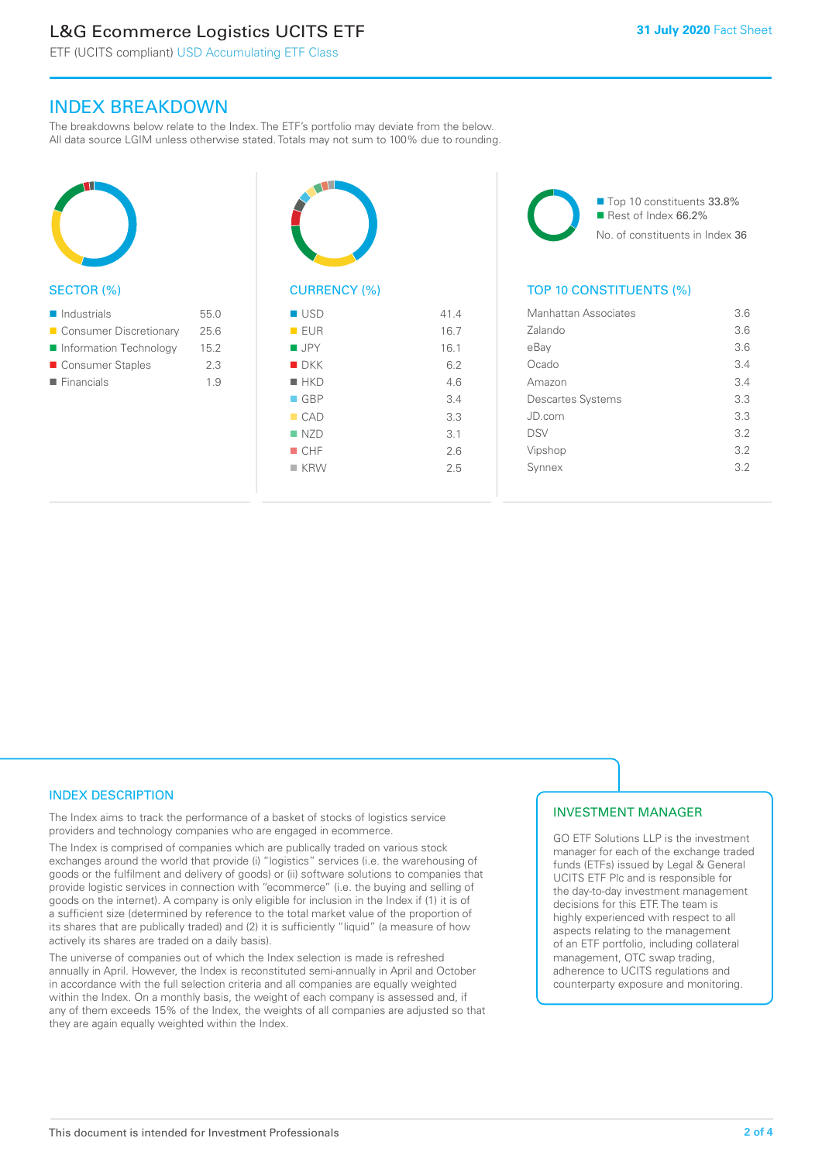# L&G Ecommerce Logistics UCITS ETF

ETF (UCITS compliant) USD Accumulating ETF Class

# INDEX BREAKDOWN

The breakdowns below relate to the Index. The ETF's portfolio may deviate from the below. All data source LGIM unless otherwise stated. Totals may not sum to 100% due to rounding.



### SECTOR (%)

| $\blacksquare$ Industrials | 55.0 |
|----------------------------|------|
| Consumer Discretionary     | 25.6 |
| Information Technology     | 15.2 |
| ■ Consumer Staples         | 23   |
| $\blacksquare$ Financials  | 19   |
|                            |      |



| ■ USD              | 41.4 |
|--------------------|------|
| EUR                | 16.7 |
| $\blacksquare$ JPY | 16.1 |
| $\blacksquare$ DKK | 6.2  |
| $H$ HKD            | 4.6  |
| $\Box$ GBP         | 3.4  |
| CAD                | 3.3  |
| NZD                | 3.1  |
| $\blacksquare$ CHF | 2.6  |
| $K$ KRW            | 2.5  |
|                    |      |

■ Top 10 constituents 33.8% Rest of Index 66.2% No. of constituents in Index 36

### TOP 10 CONSTITUENTS (%)

| Manhattan Associates     | 3.6 |
|--------------------------|-----|
| Zalando                  | 3.6 |
| eBay                     | 3.6 |
| Ocado                    | 3.4 |
| Amazon                   | 3.4 |
| <b>Descartes Systems</b> | 3.3 |
| JD.com                   | 3.3 |
| <b>DSV</b>               | 3.2 |
| Vipshop                  | 3.2 |
| Synnex                   | 3.2 |
|                          |     |

## INDEX DESCRIPTION

The Index aims to track the performance of a basket of stocks of logistics service providers and technology companies who are engaged in ecommerce.

The Index is comprised of companies which are publically traded on various stock exchanges around the world that provide (i) "logistics" services (i.e. the warehousing of goods or the fulfilment and delivery of goods) or (ii) software solutions to companies that provide logistic services in connection with "ecommerce" (i.e. the buying and selling of goods on the internet). A company is only eligible for inclusion in the Index if (1) it is of a sufficient size (determined by reference to the total market value of the proportion of its shares that are publically traded) and (2) it is sufficiently "liquid" (a measure of how actively its shares are traded on a daily basis).

The universe of companies out of which the Index selection is made is refreshed annually in April. However, the Index is reconstituted semi-annually in April and October in accordance with the full selection criteria and all companies are equally weighted within the Index. On a monthly basis, the weight of each company is assessed and, if any of them exceeds 15% of the Index, the weights of all companies are adjusted so that they are again equally weighted within the Index.

### INVESTMENT MANAGER

GO ETF Solutions LLP is the investment manager for each of the exchange traded funds (ETFs) issued by Legal & General UCITS ETF Plc and is responsible for the day-to-day investment management decisions for this ETF. The team is highly experienced with respect to all aspects relating to the management of an ETF portfolio, including collateral management, OTC swap trading, adherence to UCITS regulations and counterparty exposure and monitoring.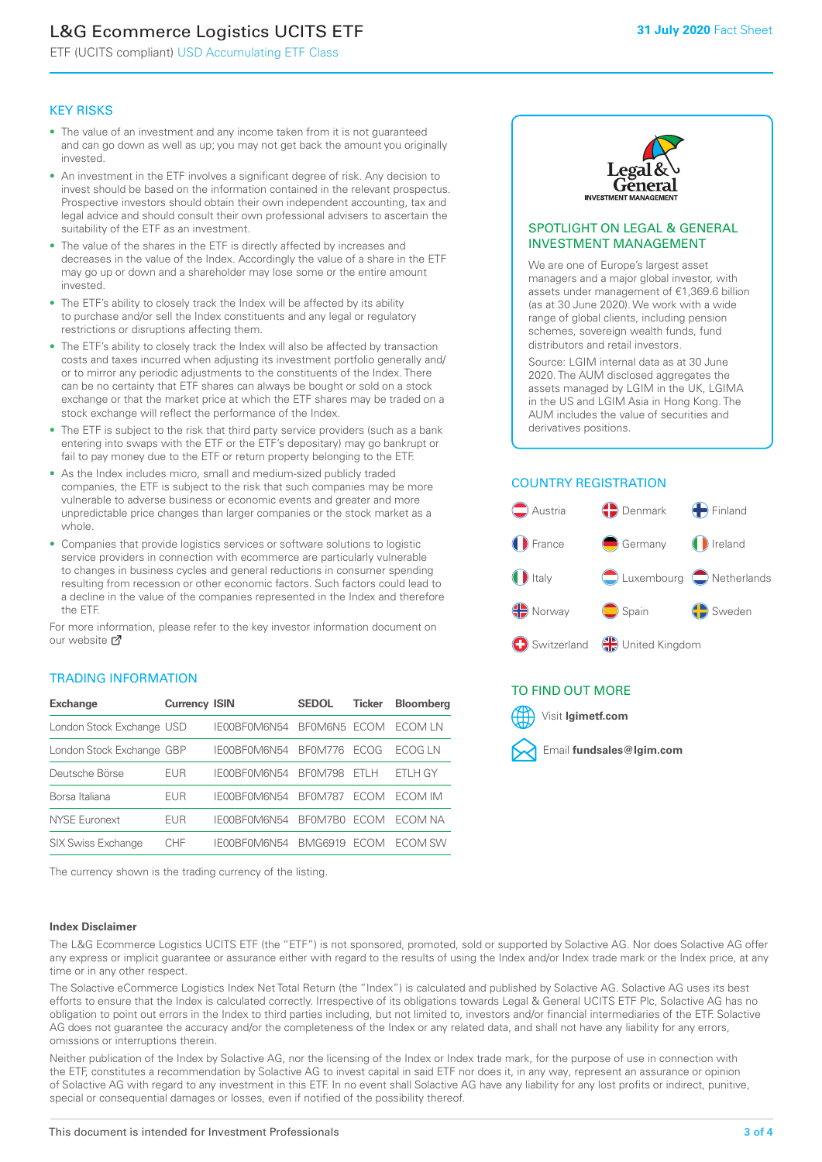# L&G Ecommerce Logistics UCITS ETF

ETF (UCITS compliant) USD Accumulating ETF Class

## KEY RISKS

- The value of an investment and any income taken from it is not guaranteed and can go down as well as up; you may not get back the amount you originally invested.
- An investment in the ETF involves a significant degree of risk. Any decision to invest should be based on the information contained in the relevant prospectus. Prospective investors should obtain their own independent accounting, tax and legal advice and should consult their own professional advisers to ascertain the suitability of the ETF as an investment.
- The value of the shares in the ETF is directly affected by increases and decreases in the value of the Index. Accordingly the value of a share in the ETF may go up or down and a shareholder may lose some or the entire amount invested.
- The ETF's ability to closely track the Index will be affected by its ability to purchase and/or sell the Index constituents and any legal or regulatory restrictions or disruptions affecting them.
- The ETF's ability to closely track the Index will also be affected by transaction costs and taxes incurred when adjusting its investment portfolio generally and/ or to mirror any periodic adjustments to the constituents of the Index. There can be no certainty that ETF shares can always be bought or sold on a stock exchange or that the market price at which the ETF shares may be traded on a stock exchange will reflect the performance of the Index.
- The ETF is subject to the risk that third party service providers (such as a bank entering into swaps with the ETF or the ETF's depositary) may go bankrupt or fail to pay money due to the ETF or return property belonging to the ETF.
- As the Index includes micro, small and medium-sized publicly traded companies, the ETF is subject to the risk that such companies may be more vulnerable to adverse business or economic events and greater and more unpredictable price changes than larger companies or the stock market as a whole.
- Companies that provide logistics services or software solutions to logistic service providers in connection with ecommerce are particularly vulnerable to changes in business cycles and general reductions in consumer spending resulting from recession or other economic factors. Such factors could lead to a decline in the value of the companies represented in the Index and therefore the ETF.

For more information, please refer to the key investor information document on our website Ø

## TRADING INFORMATION

| <b>Exchange</b>           | <b>Currency ISIN</b> |              | <b>SEDOL</b>   | <b>Ticker</b> | <b>Bloomberg</b> |
|---------------------------|----------------------|--------------|----------------|---------------|------------------|
| London Stock Exchange USD |                      | IE00BF0M6N54 | BFOM6N5 ECOM   |               | ECOM I N         |
| London Stock Exchange GBP |                      | IE00BF0M6N54 | <b>BF0M776</b> | <b>FCOG</b>   | FCOG I N         |
| Deutsche Börse            | EUR                  | IE00BF0M6N54 | <b>BF0M798</b> | FTI H         | FTI H GY         |
| Borsa Italiana            | EUR                  | IF00BF0M6N54 | <b>BF0M787</b> | <b>FCOM</b>   | <b>FCOM IM</b>   |
| <b>NYSE Euronext</b>      | <b>EUR</b>           | IE00BF0M6N54 | BF0M7B0        | <b>FCOM</b>   | FCOM NA          |
| SIX Swiss Exchange        | CHE                  | IE00BF0M6N54 | <b>BMG6919</b> | <b>FCOM</b>   | ECOM SW          |

The currency shown is the trading currency of the listing.

### **Index Disclaimer**



### SPOTLIGHT ON LEGAL & GENERAL INVESTMENT MANAGEMENT

We are one of Europe's largest asset managers and a major global investor, with assets under management of €1,369.6 billion (as at 30 June 2020). We work with a wide range of global clients, including pension schemes, sovereign wealth funds, fund distributors and retail investors.

Source: LGIM internal data as at 30 June 2020. The AUM disclosed aggregates the assets managed by LGIM in the UK, LGIMA in the US and LGIM Asia in Hong Kong. The AUM includes the value of securities and derivatives positions.

### COUNTRY REGISTRATION



## TO FIND OUT MORE



The L&G Ecommerce Logistics UCITS ETF (the "ETF") is not sponsored, promoted, sold or supported by Solactive AG. Nor does Solactive AG offer any express or implicit guarantee or assurance either with regard to the results of using the Index and/or Index trade mark or the Index price, at any time or in any other respect.

The Solactive eCommerce Logistics Index Net Total Return (the "Index") is calculated and published by Solactive AG. Solactive AG uses its best efforts to ensure that the Index is calculated correctly. Irrespective of its obligations towards Legal & General UCITS ETF Plc, Solactive AG has no obligation to point out errors in the Index to third parties including, but not limited to, investors and/or financial intermediaries of the ETF. Solactive AG does not guarantee the accuracy and/or the completeness of the Index or any related data, and shall not have any liability for any errors, omissions or interruptions therein.

Neither publication of the Index by Solactive AG, nor the licensing of the Index or Index trade mark, for the purpose of use in connection with the ETF, constitutes a recommendation by Solactive AG to invest capital in said ETF nor does it, in any way, represent an assurance or opinion of Solactive AG with regard to any investment in this ETF. In no event shall Solactive AG have any liability for any lost profits or indirect, punitive, special or consequential damages or losses, even if notified of the possibility thereof.